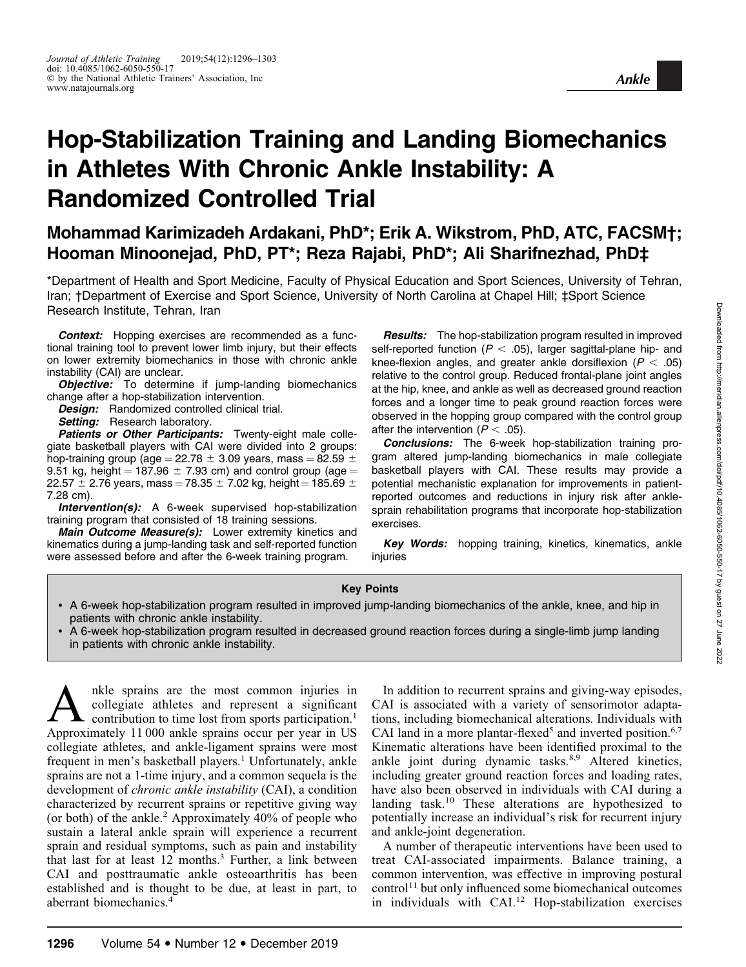# Hop-Stabilization Training and Landing Biomechanics in Athletes With Chronic Ankle Instability: A Randomized Controlled Trial

## Mohammad Karimizadeh Ardakani, PhD\*; Erik A. Wikstrom, PhD, ATC, FACSM†; Hooman Minoonejad, PhD, PT\*; Reza Rajabi, PhD\*; Ali Sharifnezhad, PhD‡

\*Department of Health and Sport Medicine, Faculty of Physical Education and Sport Sciences, University of Tehran, Iran; †Department of Exercise and Sport Science, University of North Carolina at Chapel Hill; ‡Sport Science Research Institute, Tehran, Iran

**Context:** Hopping exercises are recommended as a functional training tool to prevent lower limb injury, but their effects on lower extremity biomechanics in those with chronic ankle instability (CAI) are unclear.

**Objective:** To determine if jump-landing biomechanics change after a hop-stabilization intervention.

Design: Randomized controlled clinical trial.

Setting: Research laboratory.

Patients or Other Participants: Twenty-eight male collegiate basketball players with CAI were divided into 2 groups: hop-training group (age = 22.78  $\pm$  3.09 years, mass = 82.59  $\pm$ 9.51 kg, height = 187.96  $\pm$  7.93 cm) and control group (age = 22.57  $\pm$  2.76 years, mass = 78.35  $\pm$  7.02 kg, height = 185.69  $\pm$ 7.28 cm).

Intervention(s): A 6-week supervised hop-stabilization training program that consisted of 18 training sessions.

Main Outcome Measure(s): Lower extremity kinetics and kinematics during a jump-landing task and self-reported function were assessed before and after the 6-week training program.

**Results:** The hop-stabilization program resulted in improved self-reported function ( $P < .05$ ), larger sagittal-plane hip- and knee-flexion angles, and greater ankle dorsiflexion ( $P < .05$ ) relative to the control group. Reduced frontal-plane joint angles at the hip, knee, and ankle as well as decreased ground reaction forces and a longer time to peak ground reaction forces were observed in the hopping group compared with the control group after the intervention ( $P < .05$ ).

Conclusions: The 6-week hop-stabilization training program altered jump-landing biomechanics in male collegiate basketball players with CAI. These results may provide a potential mechanistic explanation for improvements in patientreported outcomes and reductions in injury risk after anklesprain rehabilitation programs that incorporate hop-stabilization exercises.

Key Words: hopping training, kinetics, kinematics, ankle injuries

#### Key Points

- A 6-week hop-stabilization program resulted in improved jump-landing biomechanics of the ankle, knee, and hip in patients with chronic ankle instability.
- A 6-week hop-stabilization program resulted in decreased ground reaction forces during a single-limb jump landing in patients with chronic ankle instability.

A native sprains are the most common injuries in<br>contribution to time lost from sports participation.<sup>1</sup><br>Approximately 11,000 ankle sprains occur per year in US collegiate athletes and represent a significant Approximately 11 000 ankle sprains occur per year in US collegiate athletes, and ankle-ligament sprains were most frequent in men's basketball players.<sup>1</sup> Unfortunately, ankle sprains are not a 1-time injury, and a common sequela is the development of chronic ankle instability (CAI), a condition characterized by recurrent sprains or repetitive giving way (or both) of the ankle.<sup>2</sup> Approximately 40% of people who sustain a lateral ankle sprain will experience a recurrent sprain and residual symptoms, such as pain and instability that last for at least  $12$  months.<sup>3</sup> Further, a link between CAI and posttraumatic ankle osteoarthritis has been established and is thought to be due, at least in part, to aberrant biomechanics.<sup>4</sup>

In addition to recurrent sprains and giving-way episodes, CAI is associated with a variety of sensorimotor adaptations, including biomechanical alterations. Individuals with CAI land in a more plantar-flexed<sup>5</sup> and inverted position.<sup>6,7</sup> Kinematic alterations have been identified proximal to the ankle joint during dynamic tasks.<sup>8,9</sup> Altered kinetics, including greater ground reaction forces and loading rates, have also been observed in individuals with CAI during a landing task.<sup>10</sup> These alterations are hypothesized to potentially increase an individual's risk for recurrent injury and ankle-joint degeneration.

A number of therapeutic interventions have been used to treat CAI-associated impairments. Balance training, a common intervention, was effective in improving postural control<sup>11</sup> but only influenced some biomechanical outcomes in individuals with CAI.<sup>12</sup> Hop-stabilization exercises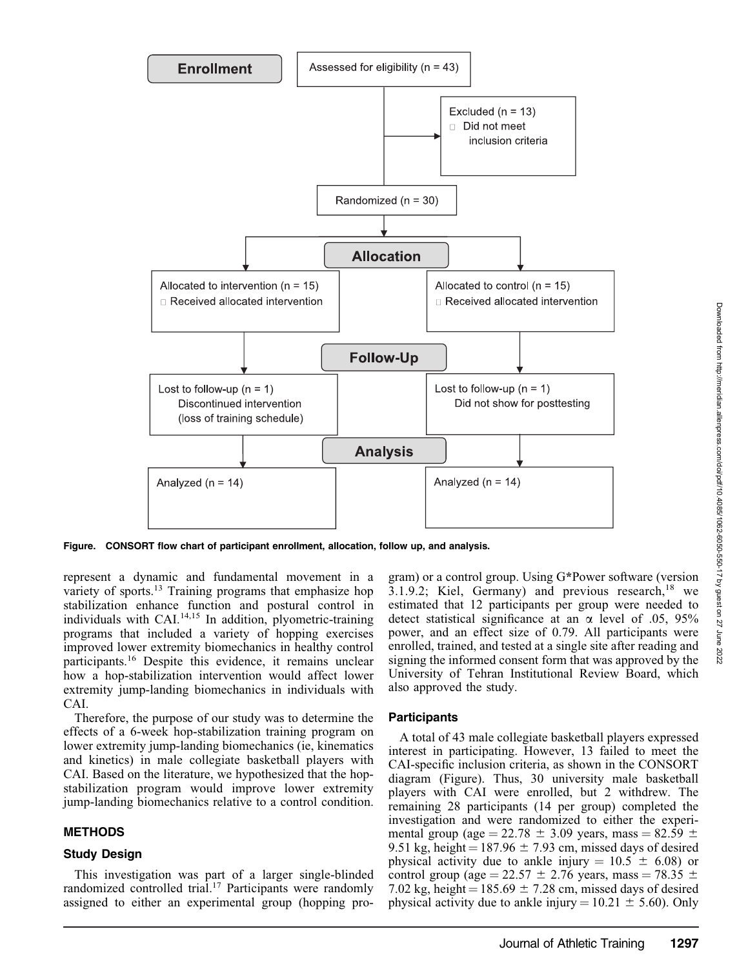

Figure. CONSORT flow chart of participant enrollment, allocation, follow up, and analysis.

represent a dynamic and fundamental movement in a variety of sports.<sup>13</sup> Training programs that emphasize hop stabilization enhance function and postural control in individuals with CAI.<sup>14,15</sup> In addition, plyometric-training programs that included a variety of hopping exercises improved lower extremity biomechanics in healthy control participants.16 Despite this evidence, it remains unclear how a hop-stabilization intervention would affect lower extremity jump-landing biomechanics in individuals with CAI.

Therefore, the purpose of our study was to determine the effects of a 6-week hop-stabilization training program on lower extremity jump-landing biomechanics (ie, kinematics and kinetics) in male collegiate basketball players with CAI. Based on the literature, we hypothesized that the hopstabilization program would improve lower extremity jump-landing biomechanics relative to a control condition.

## **METHODS**

## Study Design

This investigation was part of a larger single-blinded randomized controlled trial.<sup>17</sup> Participants were randomly assigned to either an experimental group (hopping program) or a control group. Using G\*Power software (version 3.1.9.2; Kiel, Germany) and previous research, $18$  we estimated that 12 participants per group were needed to detect statistical significance at an  $\alpha$  level of .05, 95% power, and an effect size of 0.79. All participants were enrolled, trained, and tested at a single site after reading and signing the informed consent form that was approved by the University of Tehran Institutional Review Board, which also approved the study.

## **Participants**

A total of 43 male collegiate basketball players expressed interest in participating. However, 13 failed to meet the CAI-specific inclusion criteria, as shown in the CONSORT diagram (Figure). Thus, 30 university male basketball players with CAI were enrolled, but 2 withdrew. The remaining 28 participants (14 per group) completed the investigation and were randomized to either the experimental group (age = 22.78  $\pm$  3.09 years, mass = 82.59  $\pm$ 9.51 kg, height =  $187.96 \pm 7.93$  cm, missed days of desired physical activity due to ankle injury =  $10.5 \pm 6.08$ ) or control group (age =  $22.57 \pm 2.76$  years, mass =  $78.35 \pm 1.76$ 7.02 kg, height =  $185.69 \pm 7.28$  cm, missed days of desired physical activity due to ankle injury =  $10.21 \pm 5.60$ ). Only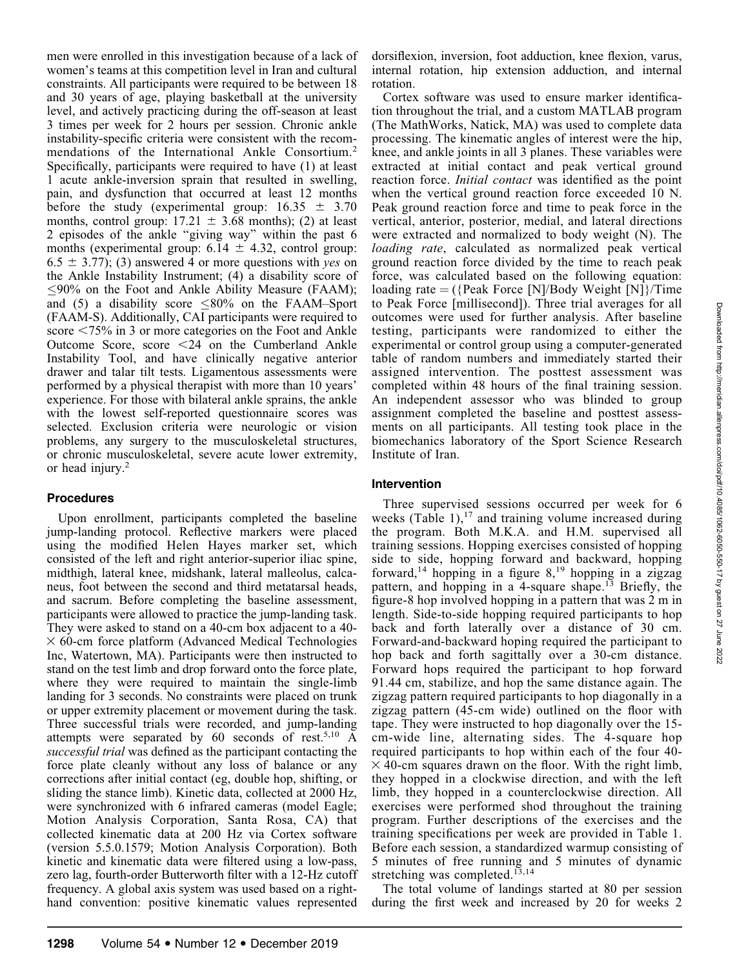men were enrolled in this investigation because of a lack of women's teams at this competition level in Iran and cultural constraints. All participants were required to be between 18 and 30 years of age, playing basketball at the university level, and actively practicing during the off-season at least 3 times per week for 2 hours per session. Chronic ankle instability-specific criteria were consistent with the recommendations of the International Ankle Consortium.<sup>2</sup> Specifically, participants were required to have (1) at least 1 acute ankle-inversion sprain that resulted in swelling, pain, and dysfunction that occurred at least 12 months before the study (experimental group:  $16.35 \pm 3.70$ months, control group:  $17.21 \pm 3.68$  months); (2) at least 2 episodes of the ankle ''giving way'' within the past 6 months (experimental group:  $6.14 \pm 4.32$ , control group:  $6.5 \pm 3.77$ ; (3) answered 4 or more questions with yes on the Ankle Instability Instrument; (4) a disability score of  $\leq$ 90% on the Foot and Ankle Ability Measure (FAAM); and (5) a disability score  $\leq 80\%$  on the FAAM–Sport (FAAM-S). Additionally, CAI participants were required to score  $\leq 75\%$  in 3 or more categories on the Foot and Ankle Outcome Score, score  $\leq$ 24 on the Cumberland Ankle Instability Tool, and have clinically negative anterior drawer and talar tilt tests. Ligamentous assessments were performed by a physical therapist with more than 10 years' experience. For those with bilateral ankle sprains, the ankle with the lowest self-reported questionnaire scores was selected. Exclusion criteria were neurologic or vision problems, any surgery to the musculoskeletal structures, or chronic musculoskeletal, severe acute lower extremity, or head injury.2

## Procedures

Upon enrollment, participants completed the baseline jump-landing protocol. Reflective markers were placed using the modified Helen Hayes marker set, which consisted of the left and right anterior-superior iliac spine, midthigh, lateral knee, midshank, lateral malleolus, calcaneus, foot between the second and third metatarsal heads, and sacrum. Before completing the baseline assessment, participants were allowed to practice the jump-landing task. They were asked to stand on a 40-cm box adjacent to a 40-  $\times$  60-cm force platform (Advanced Medical Technologies Inc, Watertown, MA). Participants were then instructed to stand on the test limb and drop forward onto the force plate, where they were required to maintain the single-limb landing for 3 seconds. No constraints were placed on trunk or upper extremity placement or movement during the task. Three successful trials were recorded, and jump-landing attempts were separated by  $60$  seconds of rest.<sup>5,10</sup> A successful trial was defined as the participant contacting the force plate cleanly without any loss of balance or any corrections after initial contact (eg, double hop, shifting, or sliding the stance limb). Kinetic data, collected at 2000 Hz, were synchronized with 6 infrared cameras (model Eagle; Motion Analysis Corporation, Santa Rosa, CA) that collected kinematic data at 200 Hz via Cortex software (version 5.5.0.1579; Motion Analysis Corporation). Both kinetic and kinematic data were filtered using a low-pass, zero lag, fourth-order Butterworth filter with a 12-Hz cutoff frequency. A global axis system was used based on a righthand convention: positive kinematic values represented

dorsiflexion, inversion, foot adduction, knee flexion, varus, internal rotation, hip extension adduction, and internal rotation.

Cortex software was used to ensure marker identification throughout the trial, and a custom MATLAB program (The MathWorks, Natick, MA) was used to complete data processing. The kinematic angles of interest were the hip, knee, and ankle joints in all 3 planes. These variables were extracted at initial contact and peak vertical ground reaction force. Initial contact was identified as the point when the vertical ground reaction force exceeded 10 N. Peak ground reaction force and time to peak force in the vertical, anterior, posterior, medial, and lateral directions were extracted and normalized to body weight (N). The loading rate, calculated as normalized peak vertical ground reaction force divided by the time to reach peak force, was calculated based on the following equation: loading rate  $=$  ({Peak Force [N]/Body Weight [N]}/Time to Peak Force [millisecond]). Three trial averages for all outcomes were used for further analysis. After baseline testing, participants were randomized to either the experimental or control group using a computer-generated table of random numbers and immediately started their assigned intervention. The posttest assessment was completed within 48 hours of the final training session. An independent assessor who was blinded to group assignment completed the baseline and posttest assessments on all participants. All testing took place in the biomechanics laboratory of the Sport Science Research Institute of Iran.

## Intervention

Three supervised sessions occurred per week for 6 weeks (Table 1), $^{17}$  and training volume increased during the program. Both M.K.A. and H.M. supervised all training sessions. Hopping exercises consisted of hopping side to side, hopping forward and backward, hopping forward,<sup>14</sup> hopping in a figure  $8,^{19}$  hopping in a zigzag pattern, and hopping in a 4-square shape.<sup>13</sup> Briefly, the figure-8 hop involved hopping in a pattern that was 2 m in length. Side-to-side hopping required participants to hop back and forth laterally over a distance of 30 cm. Forward-and-backward hoping required the participant to hop back and forth sagittally over a 30-cm distance. Forward hops required the participant to hop forward 91.44 cm, stabilize, and hop the same distance again. The zigzag pattern required participants to hop diagonally in a zigzag pattern (45-cm wide) outlined on the floor with tape. They were instructed to hop diagonally over the 15 cm-wide line, alternating sides. The 4-square hop required participants to hop within each of the four 40-  $\times$  40-cm squares drawn on the floor. With the right limb, they hopped in a clockwise direction, and with the left limb, they hopped in a counterclockwise direction. All exercises were performed shod throughout the training program. Further descriptions of the exercises and the training specifications per week are provided in Table 1. Before each session, a standardized warmup consisting of 5 minutes of free running and 5 minutes of dynamic stretching was completed.<sup>13,14</sup>

The total volume of landings started at 80 per session during the first week and increased by 20 for weeks 2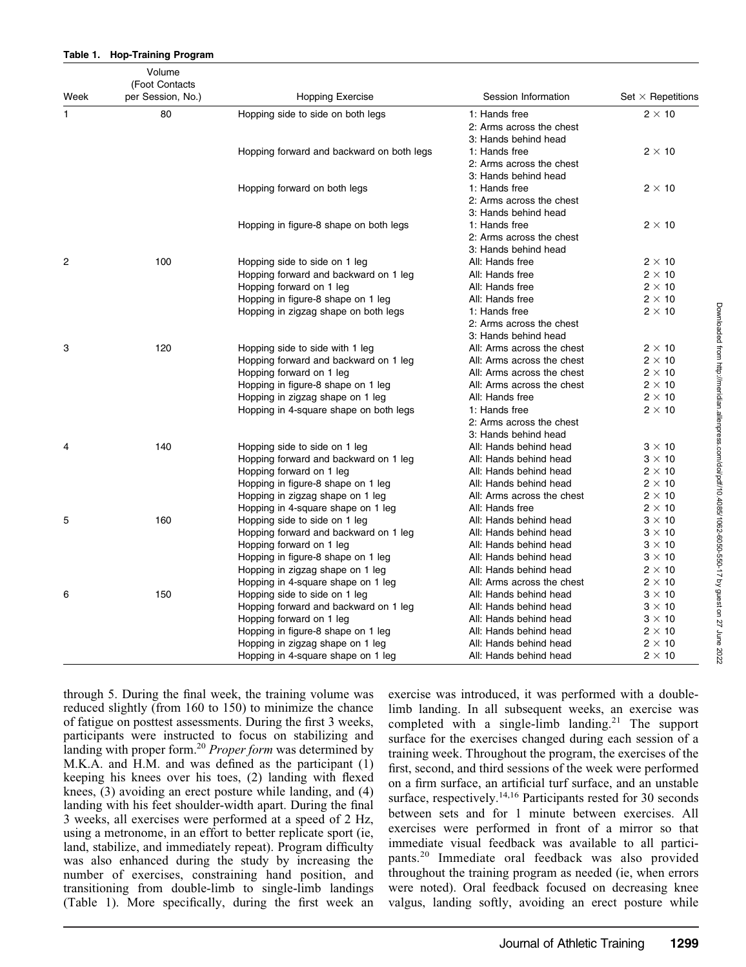|      | Volume<br>(Foot Contacts |                                           |                                                  |                          |
|------|--------------------------|-------------------------------------------|--------------------------------------------------|--------------------------|
| Week | per Session, No.)        | <b>Hopping Exercise</b>                   | Session Information                              | Set $\times$ Repetitions |
| 1    | 80                       | Hopping side to side on both legs         | 1: Hands free                                    | $2 \times 10$            |
|      |                          |                                           | 2: Arms across the chest                         |                          |
|      |                          |                                           | 3: Hands behind head                             |                          |
|      |                          | Hopping forward and backward on both legs | 1: Hands free                                    | $2 \times 10$            |
|      |                          |                                           | 2: Arms across the chest                         |                          |
|      |                          |                                           | 3: Hands behind head                             |                          |
|      |                          | Hopping forward on both legs              | 1: Hands free                                    | $2 \times 10$            |
|      |                          |                                           | 2: Arms across the chest<br>3: Hands behind head |                          |
|      |                          | Hopping in figure-8 shape on both legs    | 1: Hands free                                    | $2 \times 10$            |
|      |                          |                                           | 2: Arms across the chest                         |                          |
|      |                          |                                           | 3: Hands behind head                             |                          |
| 2    | 100                      | Hopping side to side on 1 leg             | All: Hands free                                  | $2 \times 10$            |
|      |                          | Hopping forward and backward on 1 leg     | All: Hands free                                  | $2 \times 10$            |
|      |                          | Hopping forward on 1 leg                  | All: Hands free                                  | $2 \times 10$            |
|      |                          | Hopping in figure-8 shape on 1 leg        | All: Hands free                                  | $2 \times 10$            |
|      |                          | Hopping in zigzag shape on both legs      | 1: Hands free                                    | $2 \times 10$            |
|      |                          |                                           | 2: Arms across the chest                         |                          |
|      |                          |                                           | 3: Hands behind head                             |                          |
| 3    | 120                      | Hopping side to side with 1 leg           | All: Arms across the chest                       | $2 \times 10$            |
|      |                          | Hopping forward and backward on 1 leg     | All: Arms across the chest                       | $2 \times 10$            |
|      |                          | Hopping forward on 1 leg                  | All: Arms across the chest                       | $2 \times 10$            |
|      |                          | Hopping in figure-8 shape on 1 leg        | All: Arms across the chest                       | $2 \times 10$            |
|      |                          | Hopping in zigzag shape on 1 leg          | All: Hands free                                  | $2 \times 10$            |
|      |                          | Hopping in 4-square shape on both legs    | 1: Hands free                                    | $2 \times 10$            |
|      |                          |                                           | 2: Arms across the chest                         |                          |
|      |                          |                                           | 3: Hands behind head                             |                          |
| 4    | 140                      | Hopping side to side on 1 leg             | All: Hands behind head                           | $3 \times 10$            |
|      |                          | Hopping forward and backward on 1 leg     | All: Hands behind head                           | $3 \times 10$            |
|      |                          | Hopping forward on 1 leg                  | All: Hands behind head                           | $2 \times 10$            |
|      |                          | Hopping in figure-8 shape on 1 leg        | All: Hands behind head                           | $2 \times 10$            |
|      |                          | Hopping in zigzag shape on 1 leg          | All: Arms across the chest                       | $2 \times 10$            |
|      |                          | Hopping in 4-square shape on 1 leg        | All: Hands free                                  | $2 \times 10$            |
| 5    | 160                      | Hopping side to side on 1 leg             | All: Hands behind head                           | $3 \times 10$            |
|      |                          | Hopping forward and backward on 1 leg     | All: Hands behind head                           | $3 \times 10$            |
|      |                          | Hopping forward on 1 leg                  | All: Hands behind head                           | $3 \times 10$            |
|      |                          | Hopping in figure-8 shape on 1 leg        | All: Hands behind head                           | $3 \times 10$            |
|      |                          | Hopping in zigzag shape on 1 leg          | All: Hands behind head                           | $2 \times 10$            |
|      |                          | Hopping in 4-square shape on 1 leg        | All: Arms across the chest                       | $2 \times 10$            |
| 6    | 150                      | Hopping side to side on 1 leg             | All: Hands behind head                           | $3 \times 10$            |
|      |                          | Hopping forward and backward on 1 leg     | All: Hands behind head                           | $3 \times 10$            |
|      |                          | Hopping forward on 1 leg                  | All: Hands behind head                           | $3 \times 10$            |
|      |                          | Hopping in figure-8 shape on 1 leg        | All: Hands behind head                           | $2 \times 10$            |
|      |                          | Hopping in zigzag shape on 1 leg          | All: Hands behind head                           | $2 \times 10$            |
|      |                          | Hopping in 4-square shape on 1 leg        | All: Hands behind head                           | $2 \times 10$            |

through 5. During the final week, the training volume was reduced slightly (from 160 to 150) to minimize the chance of fatigue on posttest assessments. During the first 3 weeks, participants were instructed to focus on stabilizing and landing with proper form.<sup>20</sup> Proper form was determined by M.K.A. and H.M. and was defined as the participant (1) keeping his knees over his toes, (2) landing with flexed knees, (3) avoiding an erect posture while landing, and (4) landing with his feet shoulder-width apart. During the final 3 weeks, all exercises were performed at a speed of 2 Hz, using a metronome, in an effort to better replicate sport (ie, land, stabilize, and immediately repeat). Program difficulty was also enhanced during the study by increasing the number of exercises, constraining hand position, and transitioning from double-limb to single-limb landings (Table 1). More specifically, during the first week an

Table 1. Hop-Training Program

exercise was introduced, it was performed with a doublelimb landing. In all subsequent weeks, an exercise was completed with a single-limb landing.<sup>21</sup> The support surface for the exercises changed during each session of a training week. Throughout the program, the exercises of the first, second, and third sessions of the week were performed on a firm surface, an artificial turf surface, and an unstable surface, respectively.<sup>14,16</sup> Participants rested for 30 seconds between sets and for 1 minute between exercises. All exercises were performed in front of a mirror so that immediate visual feedback was available to all participants.<sup>20</sup> Immediate oral feedback was also provided throughout the training program as needed (ie, when errors were noted). Oral feedback focused on decreasing knee valgus, landing softly, avoiding an erect posture while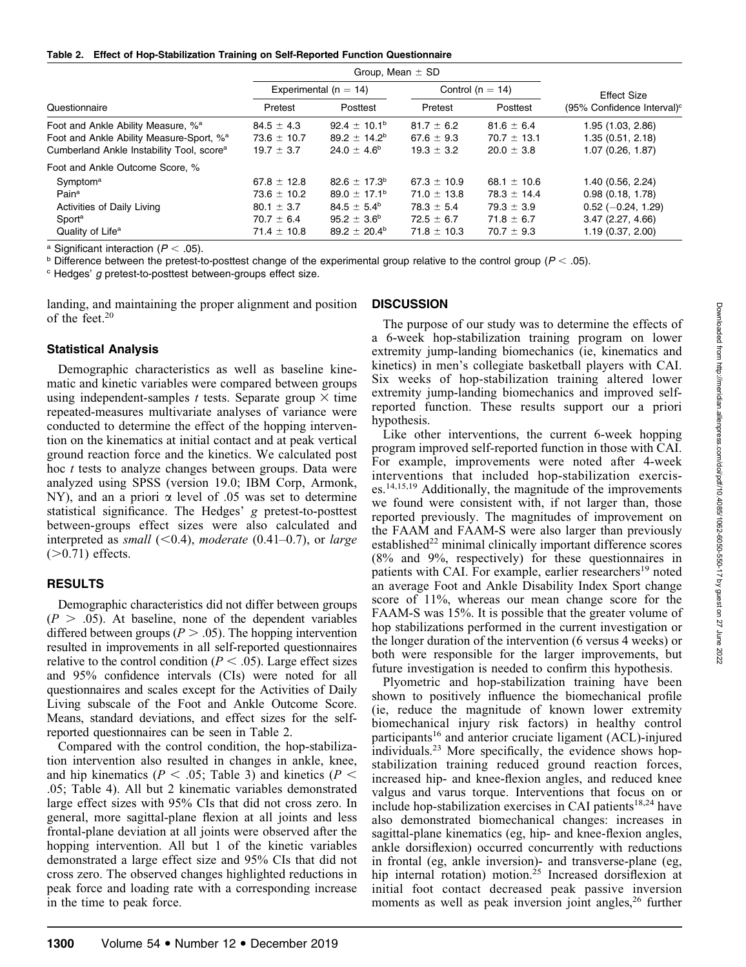Table 2. Effect of Hop-Stabilization Training on Self-Reported Function Questionnaire

|                                                       | Group, Mean $\pm$ SD      |                         |                      |                 |                                        |
|-------------------------------------------------------|---------------------------|-------------------------|----------------------|-----------------|----------------------------------------|
|                                                       | Experimental ( $n = 14$ ) |                         | Control ( $n = 14$ ) |                 | <b>Effect Size</b>                     |
| Questionnaire                                         | Pretest                   | Posttest                | Pretest              | Posttest        | (95% Confidence Interval) <sup>c</sup> |
| Foot and Ankle Ability Measure, % <sup>a</sup>        | $84.5 \pm 4.3$            | $92.4 \pm 10.1^{\circ}$ | $81.7 \pm 6.2$       | $81.6 \pm 6.4$  | 1.95 (1.03, 2.86)                      |
| Foot and Ankle Ability Measure-Sport, % <sup>a</sup>  | $73.6 \pm 10.7$           | $89.2 \pm 14.2^b$       | 67.6 $\pm$ 9.3       | $70.7 \pm 13.1$ | 1.35 (0.51, 2.18)                      |
| Cumberland Ankle Instability Tool, score <sup>a</sup> | $19.7 \pm 3.7$            | $24.0 \pm 4.6^{\circ}$  | $19.3 \pm 3.2$       | $20.0 \pm 3.8$  | 1.07 (0.26, 1.87)                      |
| Foot and Ankle Outcome Score, %                       |                           |                         |                      |                 |                                        |
| Symptom <sup>a</sup>                                  | $67.8 \pm 12.8$           | $82.6 \pm 17.3^b$       | $67.3 \pm 10.9$      | 68.1 $\pm$ 10.6 | 1.40 (0.56, 2.24)                      |
| Pain <sup>a</sup>                                     | $73.6 \pm 10.2$           | $89.0 \pm 17.1^{\circ}$ | $71.0 \pm 13.8$      | $78.3 \pm 14.4$ | 0.98(0.18, 1.78)                       |
| Activities of Daily Living                            | $80.1 \pm 3.7$            | $84.5 \pm 5.4^{\circ}$  | $78.3 \pm 5.4$       | $79.3 \pm 3.9$  | $0.52$ (-0.24, 1.29)                   |
| Sport <sup>a</sup>                                    | $70.7 \pm 6.4$            | $95.2 \pm 3.6^{\circ}$  | $72.5 \pm 6.7$       | $71.8 \pm 6.7$  | 3.47(2.27, 4.66)                       |
| Quality of Life <sup>a</sup>                          | $71.4 \pm 10.8$           | $89.2 \pm 20.4^{\circ}$ | $71.8 \pm 10.3$      | $70.7 \pm 9.3$  | 1.19 (0.37, 2.00)                      |
|                                                       |                           |                         |                      |                 |                                        |

<sup>a</sup> Significant interaction ( $P < .05$ ).

**b** Difference between the pretest-to-posttest change of the experimental group relative to the control group ( $P < .05$ ).

 $c$  Hedges'  $g$  pretest-to-posttest between-groups effect size.

landing, and maintaining the proper alignment and position of the feet.20

## Statistical Analysis

Demographic characteristics as well as baseline kinematic and kinetic variables were compared between groups using independent-samples t tests. Separate group  $\times$  time repeated-measures multivariate analyses of variance were conducted to determine the effect of the hopping intervention on the kinematics at initial contact and at peak vertical ground reaction force and the kinetics. We calculated post hoc t tests to analyze changes between groups. Data were analyzed using SPSS (version 19.0; IBM Corp, Armonk, NY), and an a priori  $\alpha$  level of .05 was set to determine statistical significance. The Hedges' g pretest-to-posttest between-groups effect sizes were also calculated and interpreted as small ( $< 0.4$ ), moderate (0.41–0.7), or large  $(>0.71)$  effects.

## **RESULTS**

Demographic characteristics did not differ between groups  $(P > .05)$ . At baseline, none of the dependent variables differed between groups ( $P > .05$ ). The hopping intervention resulted in improvements in all self-reported questionnaires relative to the control condition ( $P < .05$ ). Large effect sizes and 95% confidence intervals (CIs) were noted for all questionnaires and scales except for the Activities of Daily Living subscale of the Foot and Ankle Outcome Score. Means, standard deviations, and effect sizes for the selfreported questionnaires can be seen in Table 2.

Compared with the control condition, the hop-stabilization intervention also resulted in changes in ankle, knee, and hip kinematics ( $P < .05$ ; Table 3) and kinetics ( $P <$ .05; Table 4). All but 2 kinematic variables demonstrated large effect sizes with 95% CIs that did not cross zero. In general, more sagittal-plane flexion at all joints and less frontal-plane deviation at all joints were observed after the hopping intervention. All but 1 of the kinetic variables demonstrated a large effect size and 95% CIs that did not cross zero. The observed changes highlighted reductions in peak force and loading rate with a corresponding increase in the time to peak force.

#### **DISCUSSION**

The purpose of our study was to determine the effects of a 6-week hop-stabilization training program on lower extremity jump-landing biomechanics (ie, kinematics and kinetics) in men's collegiate basketball players with CAI. Six weeks of hop-stabilization training altered lower extremity jump-landing biomechanics and improved selfreported function. These results support our a priori hypothesis.

Like other interventions, the current 6-week hopping program improved self-reported function in those with CAI. For example, improvements were noted after 4-week interventions that included hop-stabilization exercises.14,15,19 Additionally, the magnitude of the improvements we found were consistent with, if not larger than, those reported previously. The magnitudes of improvement on the FAAM and FAAM-S were also larger than previously  $estabilished<sup>22</sup> minimal clinically important difference scores$ (8% and 9%, respectively) for these questionnaires in patients with CAI. For example, earlier researchers<sup>19</sup> noted an average Foot and Ankle Disability Index Sport change score of 11%, whereas our mean change score for the FAAM-S was 15%. It is possible that the greater volume of hop stabilizations performed in the current investigation or the longer duration of the intervention (6 versus 4 weeks) or both were responsible for the larger improvements, but future investigation is needed to confirm this hypothesis.

Plyometric and hop-stabilization training have been shown to positively influence the biomechanical profile (ie, reduce the magnitude of known lower extremity biomechanical injury risk factors) in healthy control participants<sup>16</sup> and anterior cruciate ligament (ACL)-injured individuals.23 More specifically, the evidence shows hopstabilization training reduced ground reaction forces, increased hip- and knee-flexion angles, and reduced knee valgus and varus torque. Interventions that focus on or include hop-stabilization exercises in CAI patients<sup>18,24</sup> have also demonstrated biomechanical changes: increases in sagittal-plane kinematics (eg, hip- and knee-flexion angles, ankle dorsiflexion) occurred concurrently with reductions in frontal (eg, ankle inversion)- and transverse-plane (eg, hip internal rotation) motion.<sup>25</sup> Increased dorsiflexion at initial foot contact decreased peak passive inversion moments as well as peak inversion joint angles, $^{26}$  further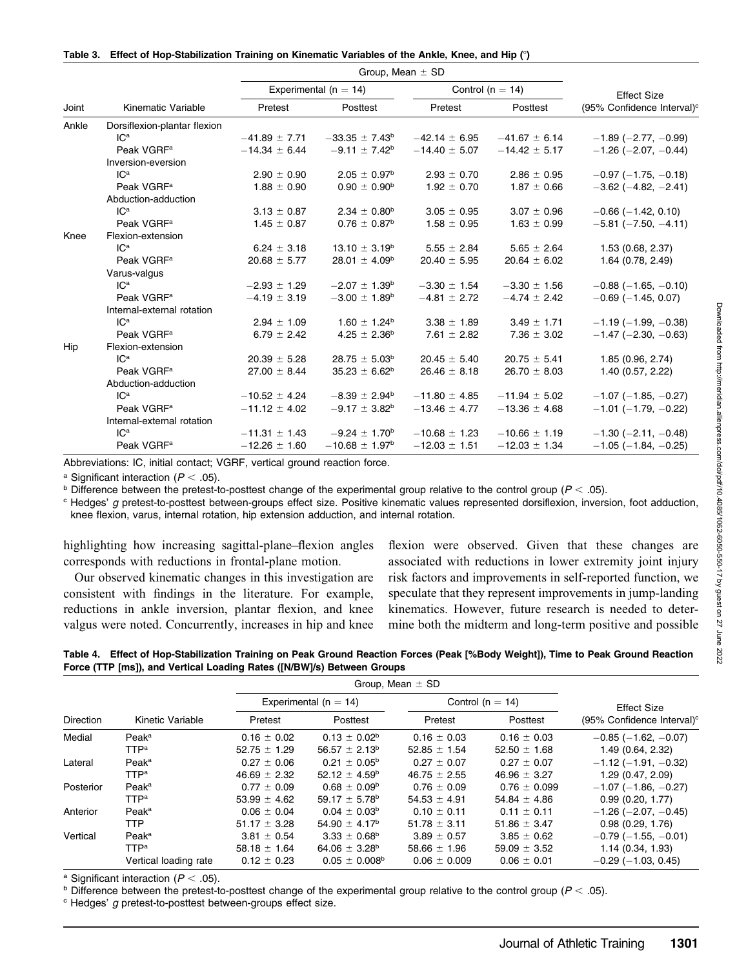Table 3. Effect of Hop-Stabilization Training on Kinematic Variables of the Ankle, Knee, and Hip (°)

|       | Kinematic Variable           | Group, Mean $\pm$ SD      |                          |                      |                   |                                        |
|-------|------------------------------|---------------------------|--------------------------|----------------------|-------------------|----------------------------------------|
|       |                              | Experimental ( $n = 14$ ) |                          | Control ( $n = 14$ ) |                   | <b>Effect Size</b>                     |
| Joint |                              | Pretest                   | Posttest                 | Pretest              | Posttest          | (95% Confidence Interval) <sup>c</sup> |
| Ankle | Dorsiflexion-plantar flexion |                           |                          |                      |                   |                                        |
|       | IC <sup>a</sup>              | $-41.89 \pm 7.71$         | $-33.35 \pm 7.43^b$      | $-42.14 \pm 6.95$    | $-41.67 \pm 6.14$ | $-1.89$ ( $-2.77, -0.99$ )             |
|       | Peak VGRF <sup>a</sup>       | $-14.34 \pm 6.44$         | $-9.11 \pm 7.42^b$       | $-14.40 \pm 5.07$    | $-14.42 \pm 5.17$ | $-1.26$ ( $-2.07, -0.44$ )             |
|       | Inversion-eversion           |                           |                          |                      |                   |                                        |
|       | IC <sup>a</sup>              | $2.90 \pm 0.90$           | $2.05 \pm 0.97^{\rm b}$  | $2.93 \pm 0.70$      | $2.86 \pm 0.95$   | $-0.97$ ( $-1.75$ , $-0.18$ )          |
|       | Peak VGRF <sup>a</sup>       | $1.88 \pm 0.90$           | $0.90 \pm 0.90^{\rm b}$  | $1.92 \pm 0.70$      | $1.87 \pm 0.66$   | $-3.62$ ( $-4.82$ , $-2.41$ )          |
|       | Abduction-adduction          |                           |                          |                      |                   |                                        |
|       | IC <sup>a</sup>              | $3.13 \pm 0.87$           | $2.34 \pm 0.80^{\circ}$  | $3.05 \pm 0.95$      | $3.07 \pm 0.96$   | $-0.66$ ( $-1.42$ , 0.10)              |
|       | Peak VGRF <sup>a</sup>       | $1.45 \pm 0.87$           | $0.76 \pm 0.87^{\rm b}$  | $1.58 \pm 0.95$      | $1.63 \pm 0.99$   | $-5.81$ ( $-7.50$ , $-4.11$ )          |
| Knee  | Flexion-extension            |                           |                          |                      |                   |                                        |
|       | IC <sup>a</sup>              | $6.24 \pm 3.18$           | $13.10 \pm 3.19^{\circ}$ | $5.55 \pm 2.84$      | $5.65 \pm 2.64$   | 1.53 (0.68, 2.37)                      |
|       | Peak VGRF <sup>a</sup>       | $20.68 \pm 5.77$          | $28.01 \pm 4.09^b$       | $20.40 \pm 5.95$     | $20.64 \pm 6.02$  | 1.64 (0.78, 2.49)                      |
|       | Varus-valgus                 |                           |                          |                      |                   |                                        |
|       | IC <sup>a</sup>              | $-2.93 \pm 1.29$          | $-2.07 \pm 1.39^{\rm b}$ | $-3.30 \pm 1.54$     | $-3.30 \pm 1.56$  | $-0.88$ ( $-1.65, -0.10$ )             |
|       | Peak VGRF <sup>a</sup>       | $-4.19 \pm 3.19$          | $-3.00 \pm 1.89^{\rm b}$ | $-4.81 \pm 2.72$     | $-4.74 \pm 2.42$  | $-0.69$ ( $-1.45$ , 0.07)              |
|       | Internal-external rotation   |                           |                          |                      |                   |                                        |
|       | IC <sup>a</sup>              | $2.94 \pm 1.09$           | $1.60 \pm 1.24^b$        | $3.38 \pm 1.89$      | $3.49 \pm 1.71$   | $-1.19(-1.99, -0.38)$                  |
|       | Peak VGRF <sup>a</sup>       | $6.79 \pm 2.42$           | $4.25 \pm 2.36^{\circ}$  | 7.61 $\pm$ 2.82      | $7.36 \pm 3.02$   | $-1.47$ ( $-2.30, -0.63$ )             |
| Hip   | Flexion-extension            |                           |                          |                      |                   |                                        |
|       | IC <sup>a</sup>              | $20.39 \pm 5.28$          | $28.75 \pm 5.03^{\circ}$ | $20.45 \pm 5.40$     | $20.75 \pm 5.41$  | 1.85 (0.96, 2.74)                      |
|       | Peak VGRF <sup>a</sup>       | $27.00 \pm 8.44$          | $35.23 \pm 6.62^b$       | $26.46 \pm 8.18$     | $26.70 \pm 8.03$  | 1.40(0.57, 2.22)                       |
|       | Abduction-adduction          |                           |                          |                      |                   |                                        |
|       | IC <sup>a</sup>              | $-10.52 \pm 4.24$         | $-8.39 \pm 2.94^{\rm b}$ | $-11.80 \pm 4.85$    | $-11.94 \pm 5.02$ | $-1.07$ ( $-1.85, -0.27$ )             |
|       | Peak VGRF <sup>a</sup>       | $-11.12 \pm 4.02$         | $-9.17 \pm 3.82^b$       | $-13.46 \pm 4.77$    | $-13.36 \pm 4.68$ | $-1.01$ ( $-1.79$ , $-0.22$ )          |
|       | Internal-external rotation   |                           |                          |                      |                   |                                        |
|       | IC <sup>a</sup>              | $-11.31 \pm 1.43$         | $-9.24 \pm 1.70^b$       | $-10.68 \pm 1.23$    | $-10.66 \pm 1.19$ | $-1.30$ ( $-2.11, -0.48$ )             |
|       | Peak VGRF <sup>a</sup>       | $-12.26 \pm 1.60$         | $-10.68 \pm 1.97^b$      | $-12.03 \pm 1.51$    | $-12.03 \pm 1.34$ | $-1.05$ ( $-1.84$ , $-0.25$ )          |

Abbreviations: IC, initial contact; VGRF, vertical ground reaction force.

<sup>a</sup> Significant interaction ( $P < .05$ ).

**b** Difference between the pretest-to-posttest change of the experimental group relative to the control group ( $P < .05$ ).

 $c$  Hedges'  $g$  pretest-to-posttest between-groups effect size. Positive kinematic values represented dorsiflexion, inversion, foot adduction, knee flexion, varus, internal rotation, hip extension adduction, and internal rotation.

highlighting how increasing sagittal-plane–flexion angles corresponds with reductions in frontal-plane motion.

Our observed kinematic changes in this investigation are consistent with findings in the literature. For example, reductions in ankle inversion, plantar flexion, and knee valgus were noted. Concurrently, increases in hip and knee flexion were observed. Given that these changes are associated with reductions in lower extremity joint injury risk factors and improvements in self-reported function, we speculate that they represent improvements in jump-landing kinematics. However, future research is needed to determine both the midterm and long-term positive and possible

Table 4. Effect of Hop-Stabilization Training on Peak Ground Reaction Forces (Peak [%Body Weight]), Time to Peak Ground Reaction Force (TTP [ms]), and Vertical Loading Rates ([N/BW]/s) Between Groups

|                  | Kinetic Variable        | Group, Mean $\pm$ SD      |                               |                      |                  |                                        |
|------------------|-------------------------|---------------------------|-------------------------------|----------------------|------------------|----------------------------------------|
| <b>Direction</b> |                         | Experimental ( $n = 14$ ) |                               | Control ( $n = 14$ ) |                  | <b>Effect Size</b>                     |
|                  |                         | Pretest                   | Posttest                      | Pretest              | Posttest         | (95% Confidence Interval) <sup>c</sup> |
| Medial           | Peak <sup>a</sup>       | $0.16 \pm 0.02$           | $0.13 \pm 0.02^b$             | $0.16 \pm 0.03$      | $0.16 \pm 0.03$  | $-0.85$ ( $-1.62, -0.07$ )             |
|                  | <b>TTP</b> <sup>a</sup> | $52.75 \pm 1.29$          | $56.57 \pm 2.13^b$            | $52.85 \pm 1.54$     | $52.50 \pm 1.68$ | 1.49 (0.64, 2.32)                      |
| Lateral          | Peak <sup>a</sup>       | $0.27 \pm 0.06$           | $0.21 \pm 0.05^{\circ}$       | $0.27 \pm 0.07$      | $0.27 \pm 0.07$  | $-1.12$ ( $-1.91$ , $-0.32$ )          |
|                  | <b>TTP</b> <sup>a</sup> | $46.69 \pm 2.32$          | 52.12 $\pm$ 4.59 <sup>b</sup> | $46.75 \pm 2.55$     | $46.96 \pm 3.27$ | 1.29(0.47, 2.09)                       |
| Posterior        | Peak <sup>a</sup>       | $0.77 \pm 0.09$           | $0.68 \pm 0.09^{\circ}$       | $0.76 \pm 0.09$      | $0.76 \pm 0.099$ | $-1.07$ ( $-1.86$ , $-0.27$ )          |
|                  | <b>TTP</b> <sup>a</sup> | 53.99 $\pm$ 4.62          | 59.17 $\pm$ 5.78 <sup>b</sup> | $54.53 \pm 4.91$     | $54.84 \pm 4.86$ | 0.99(0.20, 1.77)                       |
| Anterior         | Peak <sup>a</sup>       | $0.06 \pm 0.04$           | $0.04 \pm 0.03^{\circ}$       | $0.10 \pm 0.11$      | $0.11 \pm 0.11$  | $-1.26$ ( $-2.07, -0.45$ )             |
|                  | TTP                     | $51.17 \pm 3.28$          | $54.90 \pm 4.17^b$            | $51.78 \pm 3.11$     | 51.86 $\pm$ 3.47 | 0.98(0.29, 1.76)                       |
| Vertical         | Peak <sup>a</sup>       | $3.81 \pm 0.54$           | $3.33 \pm 0.68^{\circ}$       | $3.89 \pm 0.57$      | $3.85 \pm 0.62$  | $-0.79$ ( $-1.55, -0.01$ )             |
|                  | <b>TTP</b> <sup>a</sup> | 58.18 $\pm$ 1.64          | 64.06 $\pm$ 3.28 <sup>b</sup> | $58.66 \pm 1.96$     | $59.09 \pm 3.52$ | 1.14(0.34, 1.93)                       |
|                  | Vertical loading rate   | $0.12 \pm 0.23$           | $0.05 \pm 0.008^{\circ}$      | $0.06 \pm 0.009$     | $0.06 \pm 0.01$  | $-0.29$ ( $-1.03$ , 0.45)              |

<sup>a</sup> Significant interaction ( $P < .05$ ).

 $\overline{b}$  Difference between the pretest-to-posttest change of the experimental group relative to the control group ( $P < .05$ ).

 $c$  Hedges'  $g$  pretest-to-posttest between-groups effect size.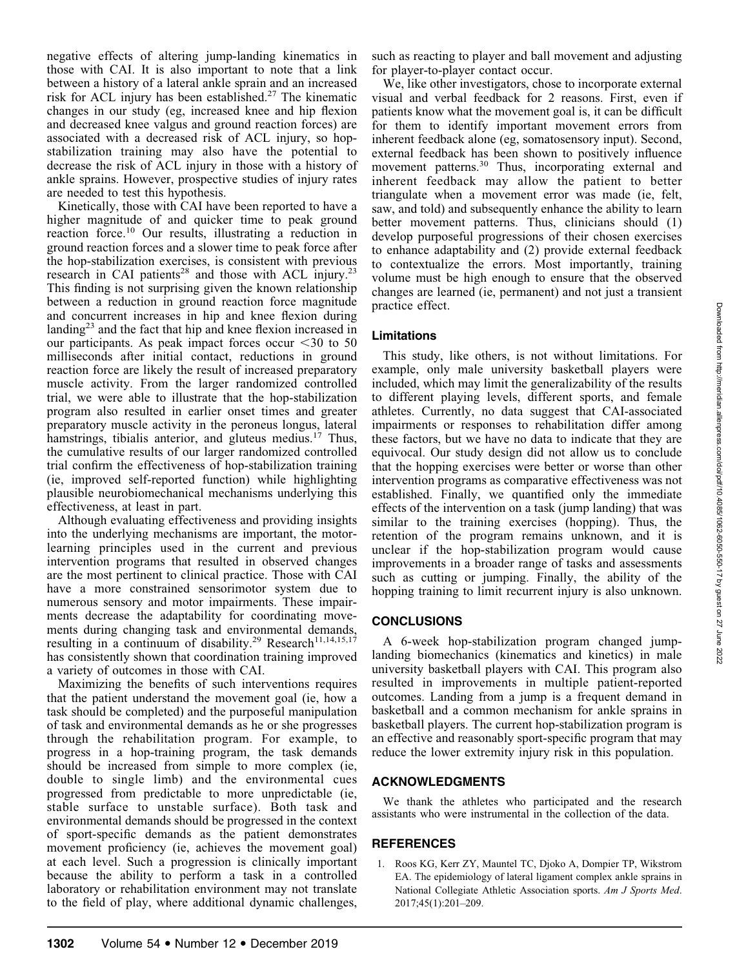negative effects of altering jump-landing kinematics in those with CAI. It is also important to note that a link between a history of a lateral ankle sprain and an increased risk for ACL injury has been established.<sup>27</sup> The kinematic changes in our study (eg, increased knee and hip flexion and decreased knee valgus and ground reaction forces) are associated with a decreased risk of ACL injury, so hopstabilization training may also have the potential to decrease the risk of ACL injury in those with a history of ankle sprains. However, prospective studies of injury rates are needed to test this hypothesis.

Kinetically, those with CAI have been reported to have a higher magnitude of and quicker time to peak ground reaction force.<sup>10</sup> Our results, illustrating a reduction in ground reaction forces and a slower time to peak force after the hop-stabilization exercises, is consistent with previous research in CAI patients<sup>28</sup> and those with ACL injury.<sup>23</sup> This finding is not surprising given the known relationship between a reduction in ground reaction force magnitude and concurrent increases in hip and knee flexion during landing23 and the fact that hip and knee flexion increased in our participants. As peak impact forces occur  $\leq 30$  to 50 milliseconds after initial contact, reductions in ground reaction force are likely the result of increased preparatory muscle activity. From the larger randomized controlled trial, we were able to illustrate that the hop-stabilization program also resulted in earlier onset times and greater preparatory muscle activity in the peroneus longus, lateral hamstrings, tibialis anterior, and gluteus medius.<sup>17</sup> Thus, the cumulative results of our larger randomized controlled trial confirm the effectiveness of hop-stabilization training (ie, improved self-reported function) while highlighting plausible neurobiomechanical mechanisms underlying this effectiveness, at least in part.

Although evaluating effectiveness and providing insights into the underlying mechanisms are important, the motorlearning principles used in the current and previous intervention programs that resulted in observed changes are the most pertinent to clinical practice. Those with CAI have a more constrained sensorimotor system due to numerous sensory and motor impairments. These impairments decrease the adaptability for coordinating movements during changing task and environmental demands, resulting in a continuum of disability.<sup>29</sup> Research<sup>11,14,15,17</sup> has consistently shown that coordination training improved a variety of outcomes in those with CAI.

Maximizing the benefits of such interventions requires that the patient understand the movement goal (ie, how a task should be completed) and the purposeful manipulation of task and environmental demands as he or she progresses through the rehabilitation program. For example, to progress in a hop-training program, the task demands should be increased from simple to more complex (ie, double to single limb) and the environmental cues progressed from predictable to more unpredictable (ie, stable surface to unstable surface). Both task and environmental demands should be progressed in the context of sport-specific demands as the patient demonstrates movement proficiency (ie, achieves the movement goal) at each level. Such a progression is clinically important because the ability to perform a task in a controlled laboratory or rehabilitation environment may not translate to the field of play, where additional dynamic challenges,

such as reacting to player and ball movement and adjusting for player-to-player contact occur.

We, like other investigators, chose to incorporate external visual and verbal feedback for 2 reasons. First, even if patients know what the movement goal is, it can be difficult for them to identify important movement errors from inherent feedback alone (eg, somatosensory input). Second, external feedback has been shown to positively influence movement patterns.30 Thus, incorporating external and inherent feedback may allow the patient to better triangulate when a movement error was made (ie, felt, saw, and told) and subsequently enhance the ability to learn better movement patterns. Thus, clinicians should (1) develop purposeful progressions of their chosen exercises to enhance adaptability and (2) provide external feedback to contextualize the errors. Most importantly, training volume must be high enough to ensure that the observed changes are learned (ie, permanent) and not just a transient practice effect.

## Limitations

This study, like others, is not without limitations. For example, only male university basketball players were included, which may limit the generalizability of the results to different playing levels, different sports, and female athletes. Currently, no data suggest that CAI-associated impairments or responses to rehabilitation differ among these factors, but we have no data to indicate that they are equivocal. Our study design did not allow us to conclude that the hopping exercises were better or worse than other intervention programs as comparative effectiveness was not established. Finally, we quantified only the immediate effects of the intervention on a task (jump landing) that was similar to the training exercises (hopping). Thus, the retention of the program remains unknown, and it is unclear if the hop-stabilization program would cause improvements in a broader range of tasks and assessments such as cutting or jumping. Finally, the ability of the hopping training to limit recurrent injury is also unknown.

## **CONCLUSIONS**

A 6-week hop-stabilization program changed jumplanding biomechanics (kinematics and kinetics) in male university basketball players with CAI. This program also resulted in improvements in multiple patient-reported outcomes. Landing from a jump is a frequent demand in basketball and a common mechanism for ankle sprains in basketball players. The current hop-stabilization program is an effective and reasonably sport-specific program that may reduce the lower extremity injury risk in this population.

## ACKNOWLEDGMENTS

We thank the athletes who participated and the research assistants who were instrumental in the collection of the data.

## REFERENCES

1. Roos KG, Kerr ZY, Mauntel TC, Djoko A, Dompier TP, Wikstrom EA. The epidemiology of lateral ligament complex ankle sprains in National Collegiate Athletic Association sports. Am J Sports Med. 2017;45(1):201–209.